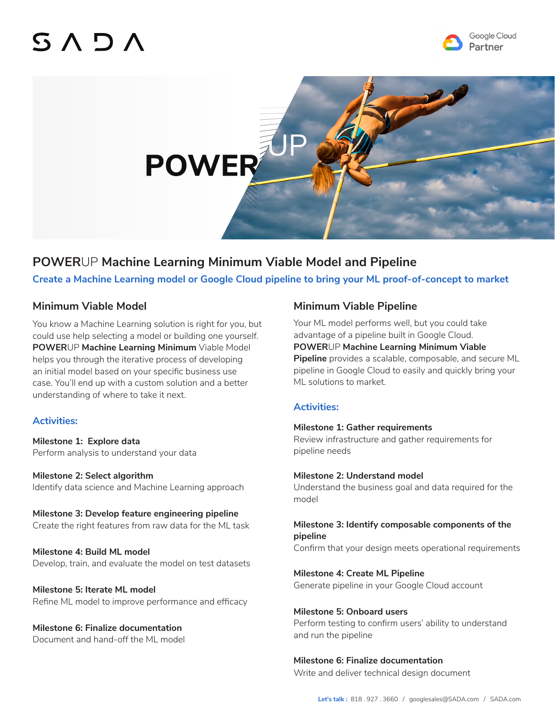# SADA





# **POWER**UP **Machine Learning Minimum Viable Model and Pipeline**

**Create a Machine Learning model or Google Cloud pipeline to bring your ML proof-of-concept to market**

## **Minimum Viable Model**

You know a Machine Learning solution is right for you, but could use help selecting a model or building one yourself. **POWER**UP **Machine Learning Minimum** Viable Model helps you through the iterative process of developing an initial model based on your specific business use case. You'll end up with a custom solution and a better understanding of where to take it next.

## **Activities:**

**Milestone 1: Explore data** Perform analysis to understand your data

**Milestone 2: Select algorithm** Identify data science and Machine Learning approach

**Milestone 3: Develop feature engineering pipeline** Create the right features from raw data for the ML task

**Milestone 4: Build ML model**  Develop, train, and evaluate the model on test datasets

**Milestone 5: Iterate ML model** Refine ML model to improve performance and efficacy

## **Milestone 6: Finalize documentation**

Document and hand-off the ML model

# **Minimum Viable Pipeline**

Your ML model performs well, but you could take advantage of a pipeline built in Google Cloud. **POWER**UP **Machine Learning Minimum Viable Pipeline** provides a scalable, composable, and secure ML pipeline in Google Cloud to easily and quickly bring your ML solutions to market.

## **Activities:**

#### **Milestone 1: Gather requirements** Review infrastructure and gather requirements for pipeline needs

**Milestone 2: Understand model**  Understand the business goal and data required for the model

#### **Milestone 3: Identify composable components of the pipeline** Confirm that your design meets operational requirements

**Milestone 4: Create ML Pipeline** Generate pipeline in your Google Cloud account

#### **Milestone 5: Onboard users**

Perform testing to confirm users' ability to understand and run the pipeline

## **Milestone 6: Finalize documentation**

Write and deliver technical design document